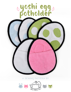# **a sewing pattern by**

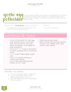#### yoshi egg potholder sewing tutorial

yoshi egg potholder

These rounded potholders were inspired by the eggs laid by the character Yoshi from the Super Mario video games. They feature a bias bound edge that give the eggs a nice black cartoony border, added pocket, and dinosaur spots.

#### $D$ IFFICULTY:  $\Box$  $\Box$

The hardest part is likely working with bias tape, which  $one 7 1/2" \times 9 1/2"$  potholder can be a little tricky if you're not familiar

makes:

# **materials & tools**

|  | · 1/4 yd. of terrycloth for main egg                  | • Matching sewing thread              |
|--|-------------------------------------------------------|---------------------------------------|
|  | color (quilting cotton would also                     | · Basic sewing tools (sewing machine, |
|  | work, but be sure to use more                         | scissors, iron, needles, pins, fabric |
|  | layers of batting in the middle for                   | marker, seam ripper)                  |
|  | heat protection)                                      |                                       |
|  | $\cdot$ 1/8 yd. or 7" $\times$ 7" scrap of terrycloth |                                       |
|  | for spots (quilting cotton would also                 |                                       |
|  | work)                                                 |                                       |
|  | $\cdot$ 7" $\times$ 7" scrap of lightweight fusible   |                                       |
|  | web                                                   |                                       |
|  | • 1/4 yd. of insulated batting or                     |                                       |
|  | cotton quilt batting                                  |                                       |
|  | · 1 yd. of black bias binding (that                   |                                       |
|  | finishes at 3/8" wide)                                |                                       |
|  |                                                       |                                       |
|  |                                                       |                                       |
|  |                                                       |                                       |
|  |                                                       |                                       |

#### **before you begin:**

- **1.** Print out the project pattern, pages 9-10
- **2.** Lay out the pattern pieces on your fabric/batting and cut them out
- **3.** Mark the fabric pieces with the guidelines from the pattern

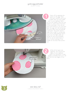sewing tutorial



Start off by applying the spots to the egg. Trace the spot outlines onto your fusible web, iron the fusible web to your appliqué fabric, cut out the shapes, then iron the shapes to what will be the front of your potholder. Once all the spots are ironed on, you can then layer the egg with the remaining terrycloth piece and the batting in between. Terrycloth doesn't really have a right or wrong side, so if you're using quilting cotton, make sure the right sides are facing out and you'll probably want to use an extra layer or two of cotton batting in the middle for the best heat protec tion. **1**<br> **1**<br> **1**<br> **21**<br> **21**<br> **21**<br> **21**<br> **21**<br> **21**<br> **21**<br> **21**<br> **21**<br> **21**<br> **21**<br> **21**<br> **21**<br> **21**<br> **21**<br> **21**<br> **21**<br> **21**<br> **21**<br> **21**<br> **21**<br> **21**<br> **21**<br> **21**<br> **21**<br> **21**<br> **21**<br> **21**<br> **21**<br> **21**<br> **21**<br> **21**<br> **21**<br> **21**<br> **21** 



While all the layers are together, sew around the edges of your appliqué spots. For terrycloth, a wide zigzag is probably best as it will cover up the raw edges of the fabric.



Sew desu ne? | www .cholyknight .com |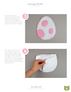sewing tutorial

With the spots all in place and the layers held together somewhat, baste around the entire egg to make sure those three layers act as one. Be sure to do it no more than 1/4" from the edge.



Next up is the pocket. For this, simply put your two pocket layers together and sew them along the straight top edge. When finished, flip the pocket over and iron the seam flat. If you're using quilting cotton here, consider adding another layer of quilt batting for heat protection.



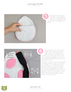sewing tutorial



Now baste the pocket to the back of your egg (the side with no spots) around the sides and bottom. Leave the top free to complete the pocket!



All that's left to do is bind all the edges, which takes a few steps. I used a French fold binding that I made myself (if you go this route, make it 3 1/4" wide, then fold it in half with wrong sides together), but you can use purchased bias binding as well as the materials list states.

The goal is to sew it around the perimeter of the egg. However, when you start, be sure to leave 3" or so extension at the top. After that, line up the raw edge of the tape with your egg and go all the way around, stopping about 4" before you reach the end (there are marks on the pattern to give you an idea). The stretchiness of the bias should help you get around the curves easier.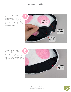sewing tutorial

When you reach the end, the leftover bias tape should overlap in the middle. Trim down the tape so the ends only overlap by about 1 1/2". Open up one end of the bias tape and fold under the short edge by 1/2".



Tuck the raw end of the bias tape into the folded edge. Now fold the width of the bias tape back to how it was before. Adjust the tape so it lies flat against the remaining section of the egg that isn't sewn.



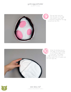sewing tutorial



Now go back and sew the one part of the egg that doesn't have tape attached. Altogether the egg should look like this.



Wrap the binding around the edge of the potholder so the folded edge comes to the back. The folded edge should just cover the previous seam. Pin it in place and iron the tape flat.



**7** sew desu ne?<br>
I www.cholyknight.co | www.cholyknight.com |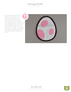#### yoshi egg potholder sewing tutorial

With the tape all pinned in place, you can now sew it in place. Sew around the seam from step 6 to catch the fold on the other side. As an insurance policy, it helps to use a zigzag stitch to cover more surface area and be sure you catch the other side. You may also want to check on the other side once in a while to be sure the folded edge is being sewn down.



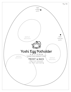